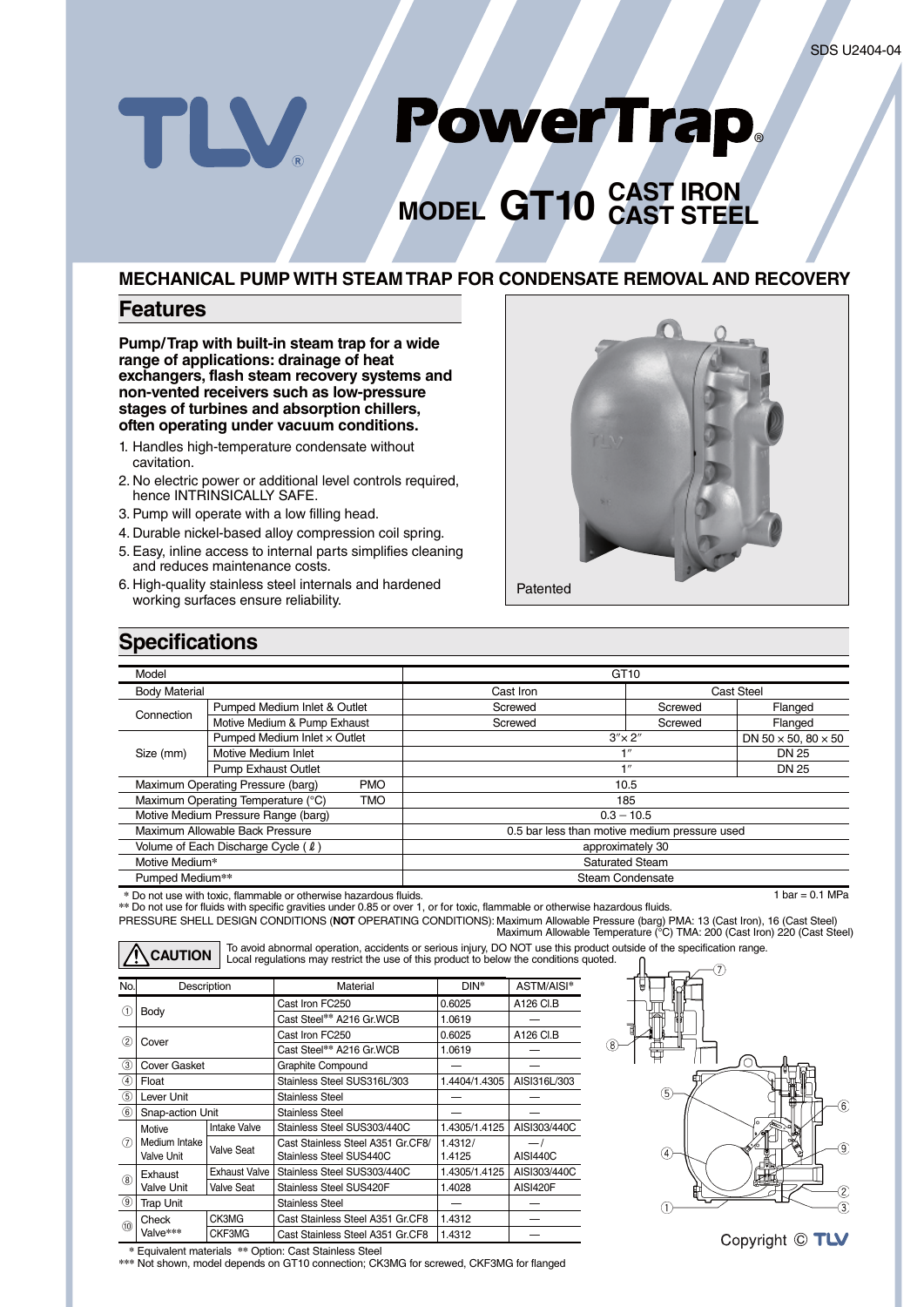## PowerTrap. TLV.

# **MODEL GT10 CAST IRON CAST STEEL**

## **MECHANICAL PUMP WITH STEAM TRAP FOR CONDENSATE REMOVAL AND RECOVERY**

### **Features**

**Pump/Trap with built-in steam trap for a wide range of applications: drainage of heat exchangers, flash steam recovery systems and non-vented receivers such as low-pressure stages of turbines and absorption chillers, often operating under vacuum conditions.**

- 1. Handles high-temperature condensate without cavitation.
- 2. No electric power or additional level controls required, hence INTRINSICALLY SAFE.
- 3. Pump will operate with a low filling head.
- 4. Durable nickel-based alloy compression coil spring.
- 5. Easy, inline access to internal parts simplifies cleaning and reduces maintenance costs.
- 6. High-quality stainless steel internals and hardened working surfaces ensure reliability.



## **Specifications**

| Model                                            |                                                                 |           | GT <sub>10</sub>                              |                  |                 |  |  |
|--------------------------------------------------|-----------------------------------------------------------------|-----------|-----------------------------------------------|------------------|-----------------|--|--|
| <b>Body Material</b>                             |                                                                 | Cast Iron | Cast Steel                                    |                  |                 |  |  |
| Connection                                       | Pumped Medium Inlet & Outlet                                    |           | Screwed                                       | Screwed          | Flanged         |  |  |
|                                                  | Motive Medium & Pump Exhaust                                    |           | Screwed                                       | Screwed          | Flanged         |  |  |
|                                                  | Pumped Medium Inlet x Outlet                                    |           |                                               | $3'' \times 2''$ |                 |  |  |
| Size (mm)                                        | Motive Medium Inlet                                             |           |                                               | 1''              |                 |  |  |
|                                                  | <b>Pump Exhaust Outlet</b>                                      |           |                                               | 1''              |                 |  |  |
|                                                  | Maximum Operating Pressure (barg)<br><b>PMO</b>                 |           | 10.5                                          |                  |                 |  |  |
| Maximum Operating Temperature (°C)<br><b>TMO</b> |                                                                 |           | 185                                           |                  |                 |  |  |
| Motive Medium Pressure Range (barg)              |                                                                 |           | $0.3 - 10.5$                                  |                  |                 |  |  |
| Maximum Allowable Back Pressure                  |                                                                 |           | 0.5 bar less than motive medium pressure used |                  |                 |  |  |
| Volume of Each Discharge Cycle ( $\ell$ )        |                                                                 |           | approximately 30                              |                  |                 |  |  |
| Motive Medium*                                   |                                                                 |           | <b>Saturated Steam</b>                        |                  |                 |  |  |
| Pumped Medium**                                  |                                                                 |           | <b>Steam Condensate</b>                       |                  |                 |  |  |
|                                                  | * Do not use with toxic flammable or otherwise hazardous fluids |           |                                               |                  | $bar = 0.1 MPa$ |  |  |

**\*** Do not use with toxic, flammable or otherwise hazardous fluids. **\*\*** Do not use for fluids with specific gravities under 0.85 or over 1, or for toxic, flammable or otherwise hazardous fluids.

PRESSURE SHELL DESIGN CONDITIONS (**NOT** OPERATING CONDITIONS): Maximum Allowable Pressure (barg) PMA: 13 (Cast Iron), 16 (Cast Steel) Maximum Allowable Temperature (°C) TMA: 200 (Cast Iron) 220 (Cast Steel) To avoid abnormal operation, accidents or serious injury, DO NOT use this product outside of the specification range.<br>
CAUTION Local regulations may restrict the use of this product to below the conditions quoted. No. ASTM/AISI**\*** Material Description DIN**\***

| No.               | Description                 |                      | Material                                                     | DIN*              | ASTM/AISI*                                  |
|-------------------|-----------------------------|----------------------|--------------------------------------------------------------|-------------------|---------------------------------------------|
| (1)               |                             |                      | Cast Iron FC250                                              | 0.6025            | A126 CI.B                                   |
|                   | Body                        |                      | Cast Steel** A216 Gr.WCB<br>1.0619                           |                   |                                             |
| $\left( 2\right)$ | Cover                       |                      | Cast Iron FC250<br>0.6025                                    |                   | A126 CI.B                                   |
|                   |                             |                      | Cast Steel** A216 Gr.WCB                                     | 1.0619            |                                             |
| $\circled{3}$     | <b>Cover Gasket</b>         |                      | Graphite Compound                                            |                   |                                             |
| ④                 | Float                       |                      | Stainless Steel SUS316L/303                                  | 1.4404/1.4305     | AISI316L/303                                |
| $\circled{5}$     | Lever Unit                  |                      | Stainless Steel                                              |                   |                                             |
| $\circledast$     | Snap-action Unit            |                      | Stainless Steel                                              |                   |                                             |
|                   | Motive                      | Intake Valve         | Stainless Steel SUS303/440C                                  | 1.4305/1.4125     | AISI303/440C                                |
| (7)               | Medium Intake<br>Valve Unit | Valve Seat           | Cast Stainless Steel A351 Gr.CF8/<br>Stainless Steel SUS440C | 1.4312/<br>1.4125 | $\overline{\phantom{0}}$<br><b>AISI440C</b> |
|                   | Exhaust                     | <b>Exhaust Valve</b> | Stainless Steel SUS303/440C                                  | 1.4305/1.4125     | AISI303/440C                                |
| (8)               | <b>Valve Unit</b>           | <b>Valve Seat</b>    | Stainless Steel SUS420F                                      | 1.4028            | AISI420F                                    |
| $\circled{9}$     | <b>Trap Unit</b>            |                      | Stainless Steel                                              |                   |                                             |
|                   | Check                       | CK3MG                | Cast Stainless Steel A351 Gr.CF8                             | 1.4312            |                                             |
| (10)              | Valve***                    | CKF3MG               | Cast Stainless Steel A351 Gr.CF8                             | 1.4312            |                                             |





**\*** Equivalent materials **\*\*** Option: Cast Stainless Steel

**\*\*\*** Not shown, model depends on GT10 connection; CK3MG for screwed, CKF3MG for flanged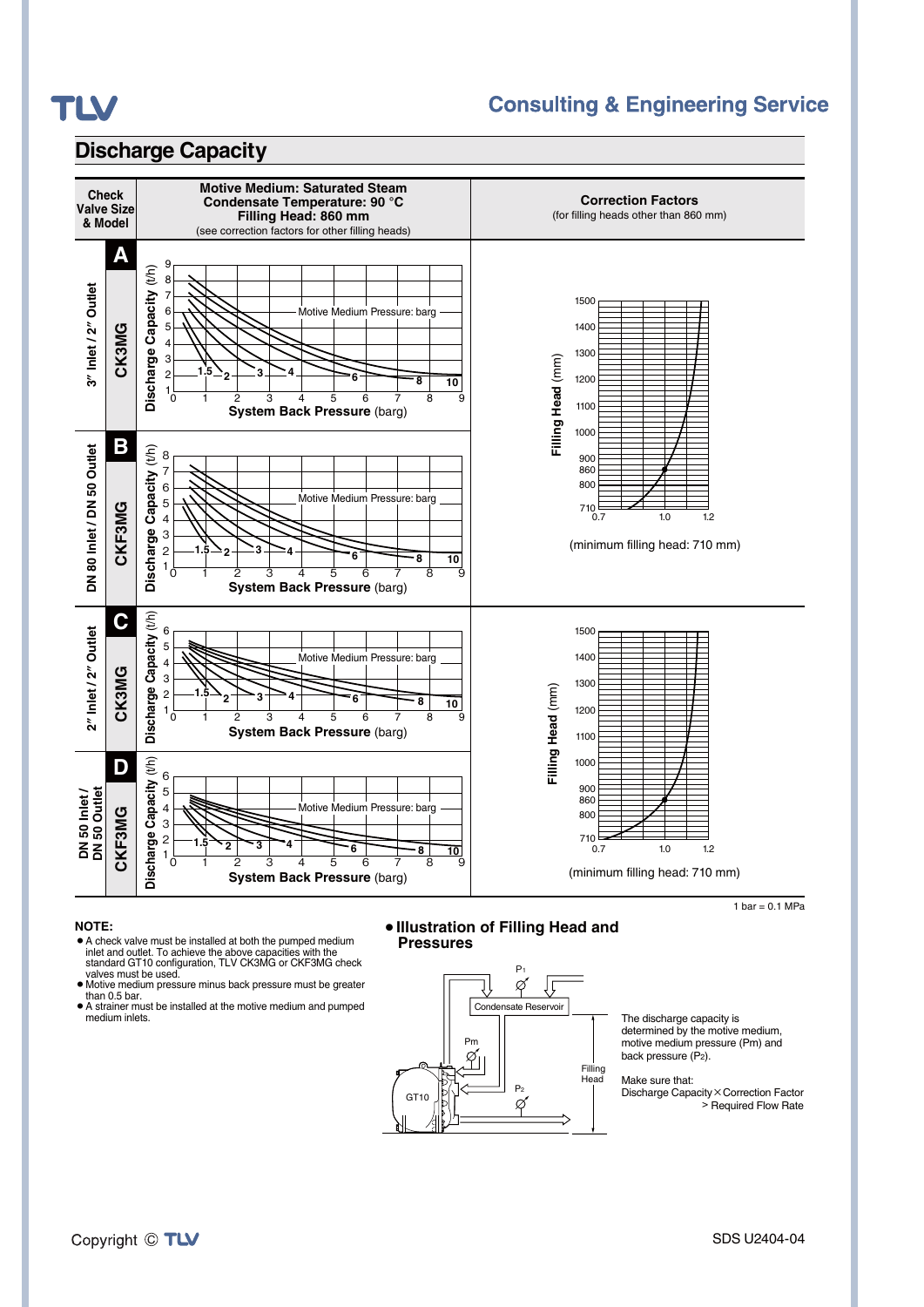

## **Consulting & Engineering Service**

## **Discharge Capacity**



#### **NOTE:**

- A check valve must be installed at both the pumped medium inlet and outlet. To achieve the above capacities with the standard GT10 configuration, TLV CK3MG or CKF3MG check valves must be used.<br>• Motive medium pressure minus back pressure must be greater
- than 0.5 bar.
- A strainer must be installed at the motive medium and pumped medium inlets.

#### ¡**Illustration of Filling Head and Pressures**



The discharge capacity is determined by the motive medium, motive medium pressure (Pm) and back pressure (P2).

Make sure that: Discharge Capacity×Correction Factor

> Required Flow Rate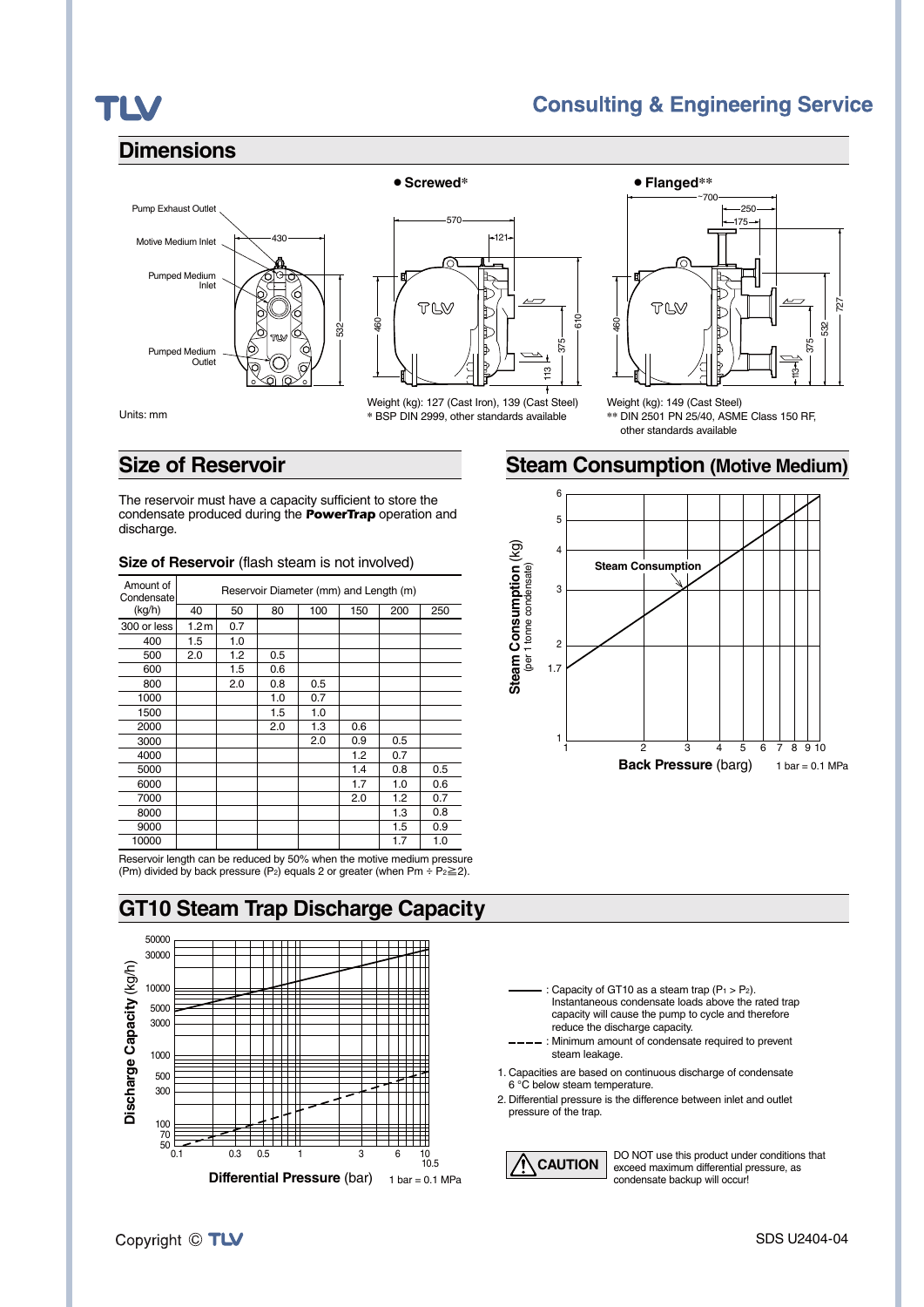## TLV

## **Consulting & Engineering Service**

### **Dimensions**



570  $-121$ TLV 610 460 375 <u>مبر</u>

Weight (kg): 127 (Cast Iron), 139 (Cast Steel) **\*** BSP DIN 2999, other standards available



Weight (kg): 149 (Cast Steel) **\*\*** DIN 2501 PN 25/40, ASME Class 150 RF, other standards available

## **Size of Reservoir**

The reservoir must have a capacity sufficient to store the condensate produced during the *PowerTrap* operation and discharge.

| Amount of<br>Condensate | Reservoir Diameter (mm) and Length (m) |     |     |     |     |     |     |
|-------------------------|----------------------------------------|-----|-----|-----|-----|-----|-----|
| (kg/h)                  | 40                                     | 50  | 80  | 100 | 150 | 200 | 250 |
| 300 or less             | 1.2 <sub>m</sub>                       | 0.7 |     |     |     |     |     |
| 400                     | 1.5                                    | 1.0 |     |     |     |     |     |
| 500                     | 2.0                                    | 1.2 | 0.5 |     |     |     |     |
| 600                     |                                        | 1.5 | 0.6 |     |     |     |     |
| 800                     |                                        | 2.0 | 0.8 | 0.5 |     |     |     |
| 1000                    |                                        |     | 1.0 | 0.7 |     |     |     |
| 1500                    |                                        |     | 1.5 | 1.0 |     |     |     |
| 2000                    |                                        |     | 2.0 | 1.3 | 0.6 |     |     |
| 3000                    |                                        |     |     | 2.0 | 0.9 | 0.5 |     |
| 4000                    |                                        |     |     |     | 1.2 | 0.7 |     |
| 5000                    |                                        |     |     |     | 1.4 | 0.8 | 0.5 |
| 6000                    |                                        |     |     |     | 1.7 | 1.0 | 0.6 |
| 7000                    |                                        |     |     |     | 2.0 | 1.2 | 0.7 |
| 8000                    |                                        |     |     |     |     | 1.3 | 0.8 |
| 9000                    |                                        |     |     |     |     | 1.5 | 0.9 |
| 10000                   |                                        |     |     |     |     | 1.7 | 1.0 |

#### **Size of Reservoir** (flash steam is not involved)

Reservoir length can be reduced by 50% when the motive medium pressure (Pm) divided by back pressure (P2) equals 2 or greater (when Pm ÷ P2≧2).

## **GT10 Steam Trap Discharge Capacity**





**Steam Consumption (Motive Medium)**

: Capacity of GT10 as a steam trap  $(P_1 > P_2)$ . Instantaneous condensate loads above the rated trap capacity will cause the pump to cycle and therefore reduce the discharge capacity.

---- : Minimum amount of condensate required to prevent steam leakage.

1. Capacities are based on continuous discharge of condensate 6 °C below steam temperature.

2. Differential pressure is the difference between inlet and outlet pressure of the trap.

**CAUTION**

DO NOT use this product under conditions that exceed maximum differential pressure, as condensate backup will occur!